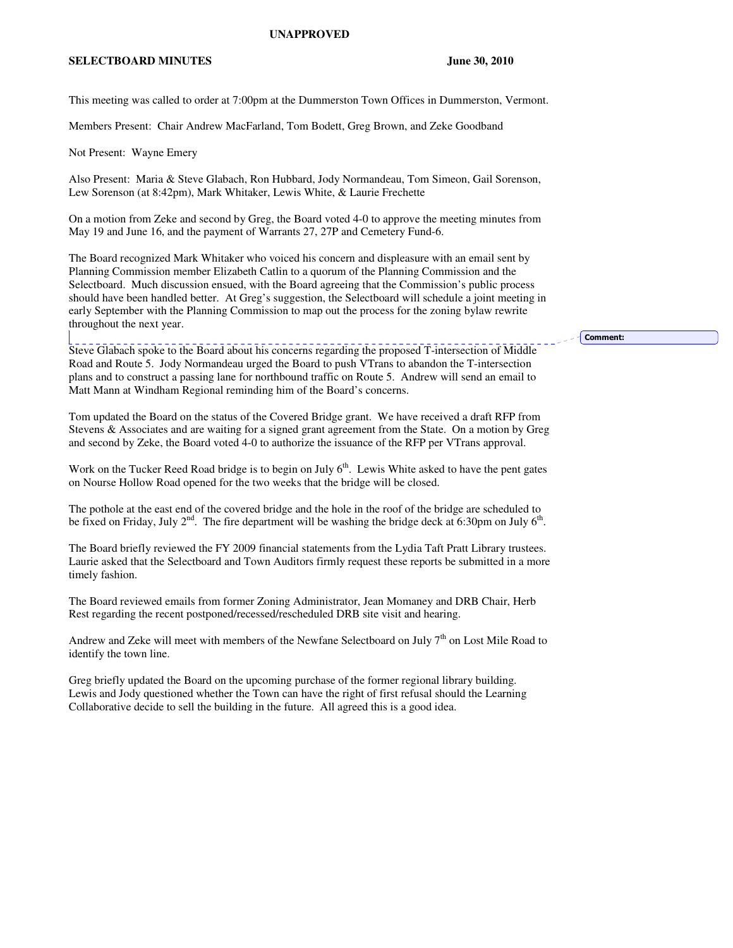## **UNAPPROVED**

## **SELECTBOARD MINUTES** June 30, 2010

This meeting was called to order at 7:00pm at the Dummerston Town Offices in Dummerston, Vermont.

Members Present: Chair Andrew MacFarland, Tom Bodett, Greg Brown, and Zeke Goodband

Not Present: Wayne Emery

Also Present: Maria & Steve Glabach, Ron Hubbard, Jody Normandeau, Tom Simeon, Gail Sorenson, Lew Sorenson (at 8:42pm), Mark Whitaker, Lewis White, & Laurie Frechette

On a motion from Zeke and second by Greg, the Board voted 4-0 to approve the meeting minutes from May 19 and June 16, and the payment of Warrants 27, 27P and Cemetery Fund-6.

The Board recognized Mark Whitaker who voiced his concern and displeasure with an email sent by Planning Commission member Elizabeth Catlin to a quorum of the Planning Commission and the Selectboard. Much discussion ensued, with the Board agreeing that the Commission's public process should have been handled better. At Greg's suggestion, the Selectboard will schedule a joint meeting in early September with the Planning Commission to map out the process for the zoning bylaw rewrite throughout the next year.

Steve Glabach spoke to the Board about his concerns regarding the proposed T-intersection of Middle Road and Route 5. Jody Normandeau urged the Board to push VTrans to abandon the T-intersection plans and to construct a passing lane for northbound traffic on Route 5. Andrew will send an email to Matt Mann at Windham Regional reminding him of the Board's concerns.

Tom updated the Board on the status of the Covered Bridge grant. We have received a draft RFP from Stevens & Associates and are waiting for a signed grant agreement from the State. On a motion by Greg and second by Zeke, the Board voted 4-0 to authorize the issuance of the RFP per VTrans approval.

Work on the Tucker Reed Road bridge is to begin on July  $6<sup>th</sup>$ . Lewis White asked to have the pent gates on Nourse Hollow Road opened for the two weeks that the bridge will be closed.

The pothole at the east end of the covered bridge and the hole in the roof of the bridge are scheduled to be fixed on Friday, July  $2<sup>nd</sup>$ . The fire department will be washing the bridge deck at 6:30pm on July  $6<sup>th</sup>$ .

The Board briefly reviewed the FY 2009 financial statements from the Lydia Taft Pratt Library trustees. Laurie asked that the Selectboard and Town Auditors firmly request these reports be submitted in a more timely fashion.

The Board reviewed emails from former Zoning Administrator, Jean Momaney and DRB Chair, Herb Rest regarding the recent postponed/recessed/rescheduled DRB site visit and hearing.

Andrew and Zeke will meet with members of the Newfane Selectboard on July 7<sup>th</sup> on Lost Mile Road to identify the town line.

Greg briefly updated the Board on the upcoming purchase of the former regional library building. Lewis and Jody questioned whether the Town can have the right of first refusal should the Learning Collaborative decide to sell the building in the future. All agreed this is a good idea.

Comment: